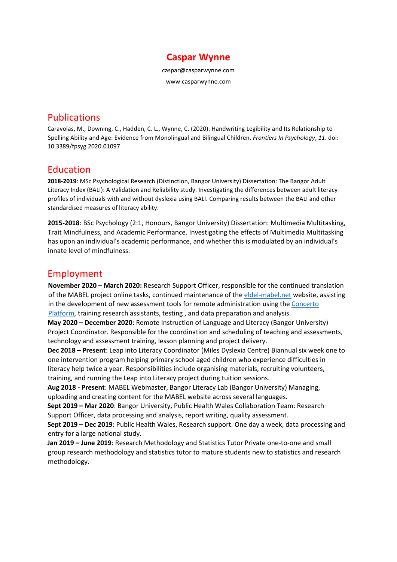

caspar@casparwynne.com

www.casparwynne.com

# Publications

Caravolas, M., Downing, C., Hadden, C. L., Wynne, C. (2020). Handwriting Legibility and Its Relationship to Spelling Ability and Age: Evidence from Monolingual and Bilingual Children. *Frontiers In Psychology*, *11*. doi: 10.3389/fpsyg.2020.01097

## Education

**2018-2019**: MSc Psychological Research (Distinction, Bangor University) Dissertation: The Bangor Adult Literacy Index (BALI): A Validation and Reliability study. Investigating the differences between adult literacy profiles of individuals with and without dyslexia using BALI. Comparing results between the BALI and other standardised measures of literacy ability.

**2015-2018**: BSc Psychology (2:1, Honours, Bangor University) Dissertation: Multimedia Multitasking, Trait Mindfulness, and Academic Performance. Investigating the effects of Multimedia Multitasking has upon an individual's academic performance, and whether this is modulated by an individual's innate level of mindfulness.

## Employment

**November 2020 – March 2020:** Research Support Officer, responsible for the continued translation of the MABEL project online tasks, continued maintenance of the [eldel-mabel.net](https://www.eldel-mabel.net/) website, assisting in the development of new assessment tools for remote administration using the [Concerto](https://www.psychometrics.cam.ac.uk/newconcerto)  [Platform,](https://www.psychometrics.cam.ac.uk/newconcerto) training research assistants, testing , and data preparation and analysis.

**May 2020 – December 2020**: Remote Instruction of Language and Literacy (Bangor University) Project Coordinator. Responsible for the coordination and scheduling of teaching and assessments, technology and assessment training, lesson planning and project delivery.

**Dec 2018 – Present**: Leap into Literacy Coordinator (Miles Dyslexia Centre) Biannual six week one to one intervention program helping primary school aged children who experience difficulties in literacy help twice a year. Responsibilities include organising materials, recruiting volunteers, training, and running the Leap into Literacy project during tuition sessions.

**Aug 2018 - Present**: MABEL Webmaster, Bangor Literacy Lab (Bangor University) Managing, uploading and creating content for the MABEL website across several languages.

**Sept 2019 – Mar 2020**: Bangor University, Public Health Wales Collaboration Team: Research Support Officer, data processing and analysis, report writing, quality assessment.

**Sept 2019 – Dec 2019**: Public Health Wales, Research support. One day a week, data processing and entry for a large national study.

**Jan 2019 – June 2019**: Research Methodology and Statistics Tutor Private one-to-one and small group research methodology and statistics tutor to mature students new to statistics and research methodology.